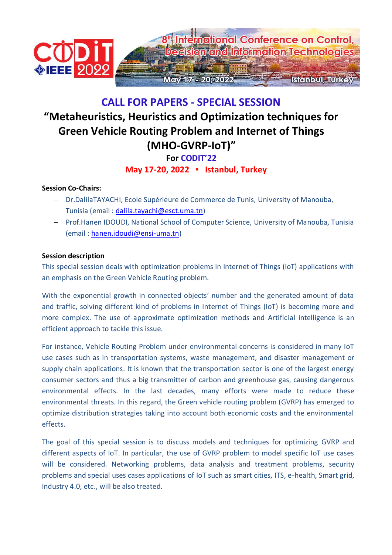

# **CALL FOR PAPERS - SPECIAL SESSION**

# **"Metaheuristics, Heuristics and Optimization techniques for Green Vehicle Routing Problem and Internet of Things (MHO-GVRP-IoT)" For CODIT'22**

## **May 17-20, 2022 ▪ Istanbul, Turkey**

## **Session Co-Chairs:**

- Dr.DalilaTAYACHI, Ecole Supérieure de Commerce de Tunis, University of Manouba, Tunisia (email : [dalila.tayachi@esct.uma.tn\)](mailto:dalila.tayachi@esct.uma.tn)
- Prof.Hanen IDOUDI, National School of Computer Science, University of Manouba, Tunisia (email : [hanen.idoudi@ensi-uma.tn\)](hanen.idoudi@ensi-uma.tn)

### **Session description**

This special session deals with optimization problems in Internet of Things (IoT) applications with an emphasis on the Green Vehicle Routing problem.

With the exponential growth in connected objects' number and the generated amount of data and traffic, solving different kind of problems in Internet of Things (IoT) is becoming more and more complex. The use of approximate optimization methods and Artificial intelligence is an efficient approach to tackle this issue.

For instance, Vehicle Routing Problem under environmental concerns is considered in many IoT use cases such as in transportation systems, waste management, and disaster management or supply chain applications. It is known that the transportation sector is one of the largest energy consumer sectors and thus a big transmitter of carbon and greenhouse gas, causing dangerous environmental effects. In the last decades, many efforts were made to reduce these environmental threats. In this regard, the Green vehicle routing problem (GVRP) has emerged to optimize distribution strategies taking into account both economic costs and the environmental effects.

The goal of this special session is to discuss models and techniques for optimizing GVRP and different aspects of IoT. In particular, the use of GVRP problem to model specific IoT use cases will be considered. Networking problems, data analysis and treatment problems, security problems and special uses cases applications of IoT such as smart cities, ITS, e-health, Smart grid, Industry 4.0, etc., will be also treated.